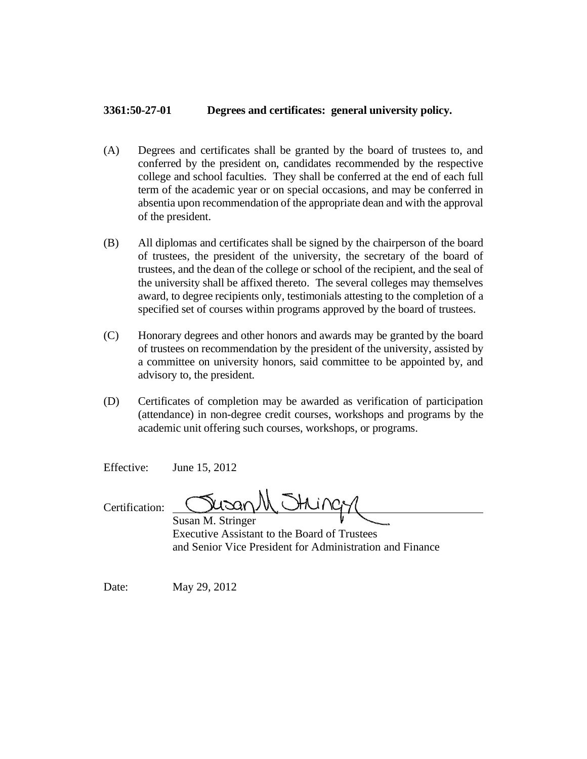## **3361:50-27-01 Degrees and certificates: general university policy.**

- (A) Degrees and certificates shall be granted by the board of trustees to, and conferred by the president on, candidates recommended by the respective college and school faculties. They shall be conferred at the end of each full term of the academic year or on special occasions, and may be conferred in absentia upon recommendation of the appropriate dean and with the approval of the president.
- (B) All diplomas and certificates shall be signed by the chairperson of the board of trustees, the president of the university, the secretary of the board of trustees, and the dean of the college or school of the recipient, and the seal of the university shall be affixed thereto. The several colleges may themselves award, to degree recipients only, testimonials attesting to the completion of a specified set of courses within programs approved by the board of trustees.
- (C) Honorary degrees and other honors and awards may be granted by the board of trustees on recommendation by the president of the university, assisted by a committee on university honors, said committee to be appointed by, and advisory to, the president.
- (D) Certificates of completion may be awarded as verification of participation (attendance) in non-degree credit courses, workshops and programs by the academic unit offering such courses, workshops, or programs.

Effective: June 15, 2012

Certification:

Susan M. Stringer Executive Assistant to the Board of Trustees and Senior Vice President for Administration and Finance

Date: May 29, 2012